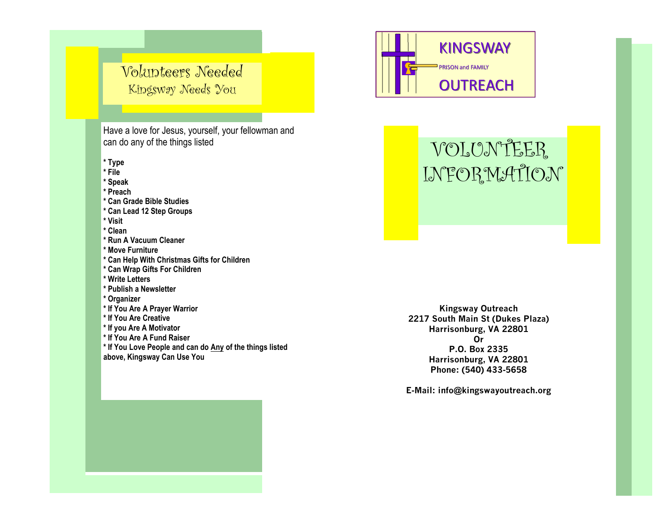## Volunteers Needed Kingsway Needs You

Have a love for Jesus, yourself, your fellowman and can do any of the things listed

**\* Type**

**\* File**

**\* Speak**

**\* Preach**

**\* Can Grade Bible Studies**

**\* Can Lead 12 Step Groups**

**\* Visit**

**\* Clean**

**\* Run A Vacuum Cleaner**

**\* Move Furniture**

- **\* Can Help With Christmas Gifts for Children**
- **\* Can Wrap Gifts For Children**
- **\* Write Letters**
- **\* Publish a Newsletter**
- **\* Organizer**
- **\* If You Are A Prayer Warrior**
- **\* If You Are Creative**
- **\* If you Are A Motivator**
- **\* If You Are A Fund Raiser**
- **\* If You Love People and can do Any of the things listed**

**above, Kingsway Can Use You** 



# VOLUNTEER INFORMATION

**Kingsway Outreach 2217 South Main St (Dukes Plaza) Harrisonburg, VA 22801 Or P.O. Box 2335 Harrisonburg, VA 22801 Phone: (540) 433-5658**

**E-Mail: info@kingswayoutreach.org**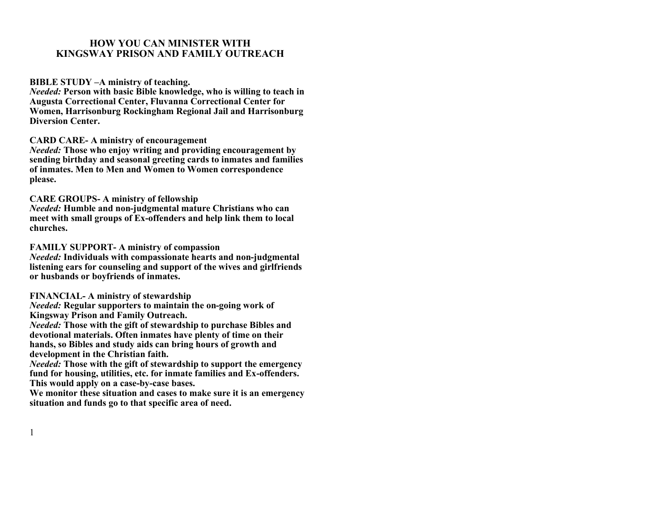#### **HOW YOU CAN MINISTER WITH KINGSWAY PRISON AND FAMILY OUTREACH**

**BIBLE STUDY –A ministry of teaching.** 

*Needed:* **Person with basic Bible knowledge, who is willing to teach in Augusta Correctional Center, Fluvanna Correctional Center for Women, Harrisonburg Rockingham Regional Jail and Harrisonburg Diversion Center.** 

#### **CARD CARE- A ministry of encouragement**

*Needed:* **Those who enjoy writing and providing encouragement by sending birthday and seasonal greeting cards to inmates and families of inmates. Men to Men and Women to Women correspondence please.**

#### **CARE GROUPS- A ministry of fellowship**

*Needed:* **Humble and non-judgmental mature Christians who can meet with small groups of Ex-offenders and help link them to local churches.**

**FAMILY SUPPORT- A ministry of compassion**

*Needed:* **Individuals with compassionate hearts and non-judgmental listening ears for counseling and support of the wives and girlfriends or husbands or boyfriends of inmates.**

#### **FINANCIAL- A ministry of stewardship**

1

*Needed:* **Regular supporters to maintain the on-going work of Kingsway Prison and Family Outreach.**

*Needed:* **Those with the gift of stewardship to purchase Bibles and devotional materials. Often inmates have plenty of time on their hands, so Bibles and study aids can bring hours of growth and development in the Christian faith.** 

*Needed:* **Those with the gift of stewardship to support the emergency fund for housing, utilities, etc. for inmate families and Ex-offenders. This would apply on a case-by-case bases.**

**We monitor these situation and cases to make sure it is an emergency situation and funds go to that specific area of need.**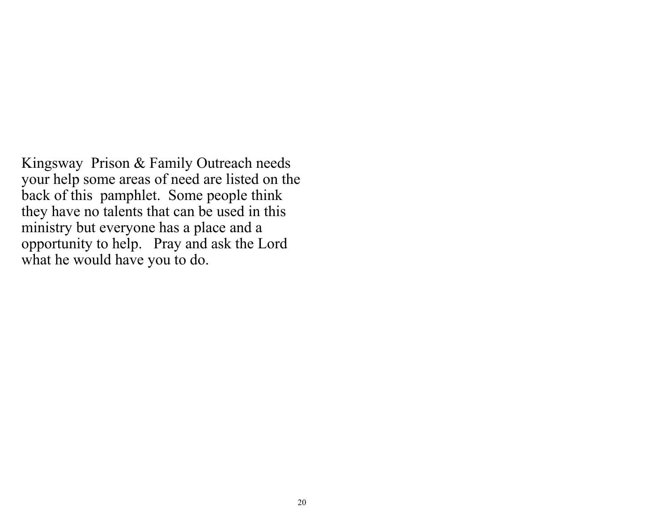Kingsway Prison & Family Outreach needs your help some areas of need are listed on the back of this pamphlet. Some people think they have no talents that can be used in this ministry but everyone has a place and a opportunity to help. Pray and ask the Lord what he would have you to do.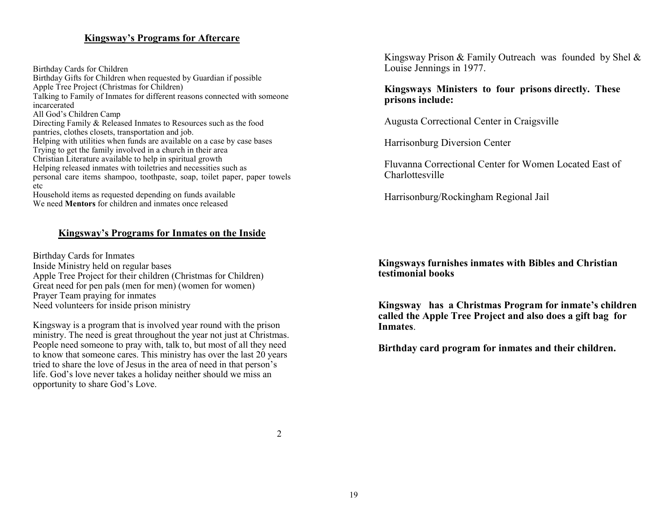#### **Kingsway's Programs for Aftercare**

Birthday Cards for Children Birthday Gifts for Children when requested by Guardian if possible Apple Tree Project (Christmas for Children) Talking to Family of Inmates for different reasons connected with someone incarcerated All God's Children Camp Directing Family & Released Inmates to Resources such as the food pantries, clothes closets, transportation and job. Helping with utilities when funds are available on a case by case bases Trying to get the family involved in a church in their area Christian Literature available to help in spiritual growth Helping released inmates with toiletries and necessities such as personal care items shampoo, toothpaste, soap, toilet paper, paper towels etc Household items as requested depending on funds available We need **Mentors** for children and inmates once released

#### **Kingsway's Programs for Inmates on the Inside**

Birthday Cards for Inmates Inside Ministry held on regular bases Apple Tree Project for their children (Christmas for Children) Great need for pen pals (men for men) (women for women) Prayer Team praying for inmates Need volunteers for inside prison ministry

Kingsway is a program that is involved year round with the prison ministry. The need is great throughout the year not just at Christmas. People need someone to pray with, talk to, but most of all they need to know that someone cares. This ministry has over the last 20 years tried to share the love of Jesus in the area of need in that person's life. God's love never takes a holiday neither should we miss an opportunity to share God's Love.

Kingsway Prison & Family Outreach was founded by Shel & Louise Jennings in 1977.

**Kingsways Ministers to four prisons directly. These prisons include:**

Augusta Correctional Center in Craigsville

Harrisonburg Diversion Center

Fluvanna Correctional Center for Women Located East of Charlottesville

Harrisonburg/Rockingham Regional Jail

**Kingsways furnishes inmates with Bibles and Christian testimonial books**

**Kingsway has a Christmas Program for inmate's children called the Apple Tree Project and also does a gift bag for Inmates**.

**Birthday card program for inmates and their children.**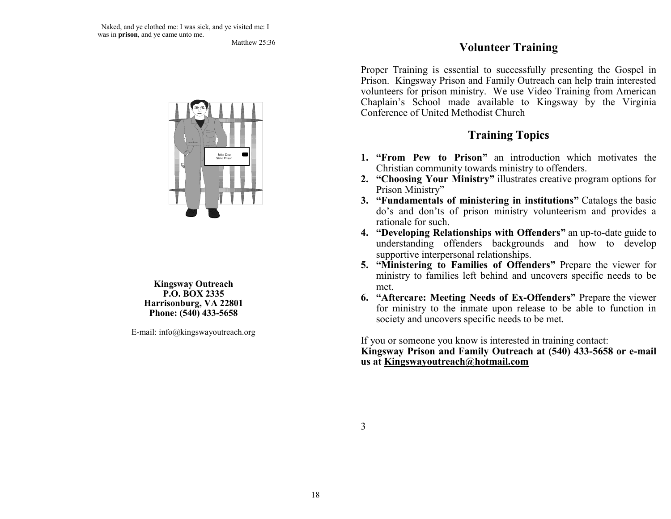Matthew 25:36



**Kingsway Outreach P.O. BOX 2335 Harrisonburg, VA 22801 Phone: (540) 433-5658**

E-mail: info@kingswayoutreach.org

## **Volunteer Training**

Proper Training is essential to successfully presenting the Gospel in Prison. Kingsway Prison and Family Outreach can help train interested volunteers for prison ministry. We use Video Training from American Chaplain's School made available to Kingsway by the Virginia Conference of United Methodist Church

## **Training Topics**

- **1. "From Pew to Prison"** an introduction which motivates the Christian community towards ministry to offenders.
- **2. "Choosing Your Ministry"** illustrates creative program options for Prison Ministry"
- **3. "Fundamentals of ministering in institutions"** Catalogs the basic do's and don'ts of prison ministry volunteerism and provides a rationale for such.
- **4. "Developing Relationships with Offenders"** an up-to-date guide to understanding offenders backgrounds and how to develop supportive interpersonal relationships.
- **5. "Ministering to Families of Offenders"** Prepare the viewer for ministry to families left behind and uncovers specific needs to be met.
- **6. "Aftercare: Meeting Needs of Ex-Offenders"** Prepare the viewer for ministry to the inmate upon release to be able to function in society and uncovers specific needs to be met.

If you or someone you know is interested in training contact: **Kingsway Prison and Family Outreach at (540) 433-5658 or e-mail us at Kingswayoutreach@hotmail.com**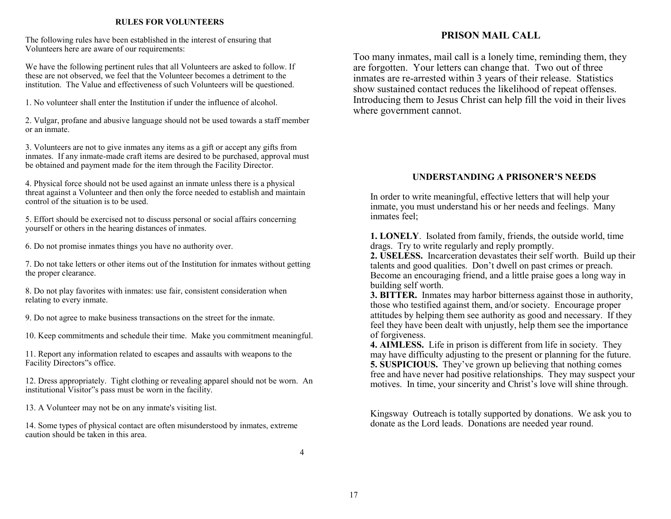#### **RULES FOR VOLUNTEERS**

The following rules have been established in the interest of ensuring that Volunteers here are aware of our requirements:

We have the following pertinent rules that all Volunteers are asked to follow. If these are not observed, we feel that the Volunteer becomes a detriment to the institution. The Value and effectiveness of such Volunteers will be questioned.

1. No volunteer shall enter the Institution if under the influence of alcohol.

2. Vulgar, profane and abusive language should not be used towards a staff member or an inmate.

3. Volunteers are not to give inmates any items as a gift or accept any gifts from inmates. If any inmate-made craft items are desired to be purchased, approval must be obtained and payment made for the item through the Facility Director.

4. Physical force should not be used against an inmate unless there is a physical threat against a Volunteer and then only the force needed to establish and maintain control of the situation is to be used.

5. Effort should be exercised not to discuss personal or social affairs concerning yourself or others in the hearing distances of inmates.

6. Do not promise inmates things you have no authority over.

7. Do not take letters or other items out of the Institution for inmates without getting the proper clearance.

8. Do not play favorites with inmates: use fair, consistent consideration when relating to every inmate.

9. Do not agree to make business transactions on the street for the inmate.

10. Keep commitments and schedule their time. Make you commitment meaningful.

11. Report any information related to escapes and assaults with weapons to the Facility Directors"s office.

12. Dress appropriately. Tight clothing or revealing apparel should not be worn. An institutional Visitor"s pass must be worn in the facility.

13. A Volunteer may not be on any inmate's visiting list.

14. Some types of physical contact are often misunderstood by inmates, extreme caution should be taken in this area.

#### **PRISON MAIL CALL**

Too many inmates, mail call is a lonely time, reminding them, they are forgotten. Your letters can change that. Two out of three inmates are re-arrested within 3 years of their release. Statistics show sustained contact reduces the likelihood of repeat offenses. Introducing them to Jesus Christ can help fill the void in their lives where government cannot.

#### **UNDERSTANDING A PRISONER'S NEEDS**

In order to write meaningful, effective letters that will help your inmate, you must understand his or her needs and feelings. Many inmates feel;

**1. LONELY**. Isolated from family, friends, the outside world, time drags. Try to write regularly and reply promptly.

**2. USELESS.** Incarceration devastates their self worth. Build up their talents and good qualities. Don't dwell on past crimes or preach. Become an encouraging friend, and a little praise goes a long way in building self worth.

**3. BITTER.** Inmates may harbor bitterness against those in authority, those who testified against them, and/or society. Encourage proper attitudes by helping them see authority as good and necessary. If they feel they have been dealt with unjustly, help them see the importance of forgiveness.

**4. AIMLESS.** Life in prison is different from life in society. They may have difficulty adjusting to the present or planning for the future. **5. SUSPICIOUS.** They've grown up believing that nothing comes free and have never had positive relationships. They may suspect your motives. In time, your sincerity and Christ's love will shine through.

Kingsway Outreach is totally supported by donations. We ask you to donate as the Lord leads. Donations are needed year round.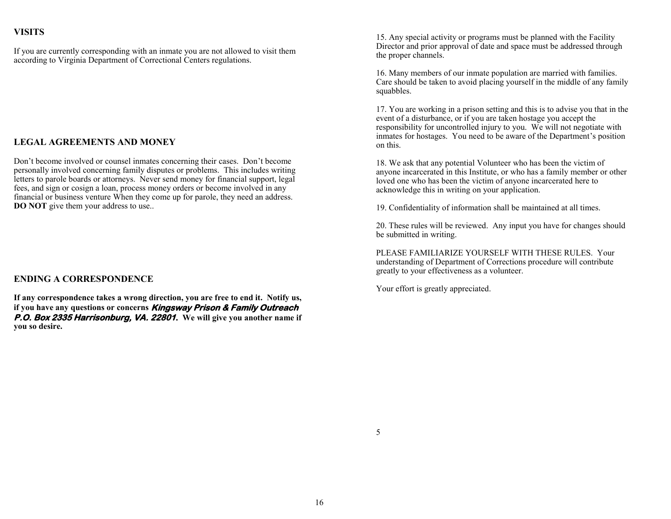#### **VISITS**

If you are currently corresponding with an inmate you are not allowed to visit them according to Virginia Department of Correctional Centers regulations.

#### **LEGAL AGREEMENTS AND MONEY**

Don't become involved or counsel inmates concerning their cases. Don't become personally involved concerning family disputes or problems. This includes writing letters to parole boards or attorneys. Never send money for financial support, legal fees, and sign or cosign a loan, process money orders or become involved in any financial or business venture When they come up for parole, they need an address. **DO NOT** give them your address to use..

#### **ENDING A CORRESPONDENCE**

**If any correspondence takes a wrong direction, you are free to end it. Notify us, if you have any questions or concerns Kingsway Prison & Family Outreach P.O. Box 2335 Harrisonburg, VA. 22801. We will give you another name if you so desire.**

15. Any special activity or programs must be planned with the Facility Director and prior approval of date and space must be addressed through the proper channels.

16. Many members of our inmate population are married with families. Care should be taken to avoid placing yourself in the middle of any family squabbles.

17. You are working in a prison setting and this is to advise you that in the event of a disturbance, or if you are taken hostage you accept the responsibility for uncontrolled injury to you. We will not negotiate with inmates for hostages. You need to be aware of the Department's position on this.

18. We ask that any potential Volunteer who has been the victim of anyone incarcerated in this Institute, or who has a family member or other loved one who has been the victim of anyone incarcerated here to acknowledge this in writing on your application.

19. Confidentiality of information shall be maintained at all times.

20. These rules will be reviewed. Any input you have for changes should be submitted in writing.

PLEASE FAMILIARIZE YOURSELF WITH THESE RULES. Your understanding of Department of Corrections procedure will contribute greatly to your effectiveness as a volunteer.

Your effort is greatly appreciated.

5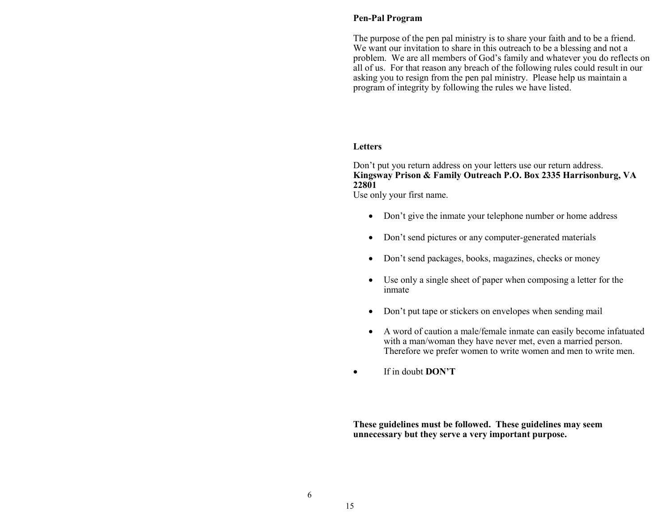#### **Pen-Pal Program**

The purpose of the pen pal ministry is to share your faith and to be a friend. We want our invitation to share in this outreach to be a blessing and not a problem. We are all members of God's family and whatever you do reflects on all of us. For that reason any breach of the following rules could result in our asking you to resign from the pen pal ministry. Please help us maintain a program of integrity by following the rules we have listed.

#### **Letters**

Don't put you return address on your letters use our return address. **Kingsway Prison & Family Outreach P.O. Box 2335 Harrisonburg, VA 22801**

Use only your first name.

- Don't give the inmate your telephone number or home address
- Don't send pictures or any computer-generated materials
- Don't send packages, books, magazines, checks or money
- Use only a single sheet of paper when composing a letter for the inmate
- Don't put tape or stickers on envelopes when sending mail
- A word of caution a male/female inmate can easily become infatuated with a man/woman they have never met, even a married person. Therefore we prefer women to write women and men to write men.
- If in doubt **DON'T**

**These guidelines must be followed. These guidelines may seem unnecessary but they serve a very important purpose.**

6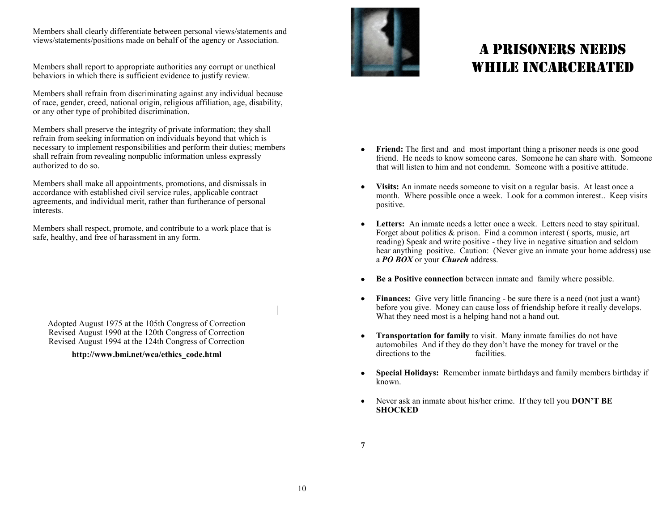Members shall clearly differentiate between personal views/statements and views/statements/positions made on behalf of the agency or Association.

Members shall report to appropriate authorities any corrupt or unethical behaviors in which there is sufficient evidence to justify review.

Members shall refrain from discriminating against any individual because of race, gender, creed, national origin, religious affiliation, age, disability, or any other type of prohibited discrimination.

Members shall preserve the integrity of private information; they shall refrain from seeking information on individuals beyond that which is necessary to implement responsibilities and perform their duties; members shall refrain from revealing nonpublic information unless expressly authorized to do so.

Members shall make all appointments, promotions, and dismissals in accordance with established civil service rules, applicable contract agreements, and individual merit, rather than furtherance of personal interests.

Members shall respect, promote, and contribute to a work place that is safe, healthy, and free of harassment in any form.

Adopted August 1975 at the 105th Congress of Correction Revised August 1990 at the 120th Congress of Correction Revised August 1994 at the 124th Congress of Correction

#### **http://www.bmi.net/wca/ethics\_code.html**



# A PRISONERS NEEDS WHILE INCARCERATED

- **Friend:** The first and and most important thing a prisoner needs is one good friend. He needs to know someone cares. Someone he can share with. Someone that will listen to him and not condemn. Someone with a positive attitude.
- **Visits:** An inmate needs someone to visit on a regular basis. At least once a month. Where possible once a week. Look for a common interest.. Keep visits positive.
- **Letters:** An inmate needs a letter once a week. Letters need to stay spiritual. Forget about politics & prison. Find a common interest ( sports, music, art reading) Speak and write positive - they live in negative situation and seldom hear anything positive. Caution: (Never give an inmate your home address) use a *PO BOX* or your *Church* address.
- **Be a Positive connection** between inmate and family where possible.
- **Finances:** Give very little financing be sure there is a need (not just a want) before you give. Money can cause loss of friendship before it really develops. What they need most is a helping hand not a hand out.
- **Transportation for family** to visit. Many inmate families do not have automobiles And if they do they don't have the money for travel or the directions to the facilities.
- **Special Holidays:** Remember inmate birthdays and family members birthday if known.
- Never ask an inmate about his/her crime. If they tell you **DON'T BE SHOCKED**

**7**

|